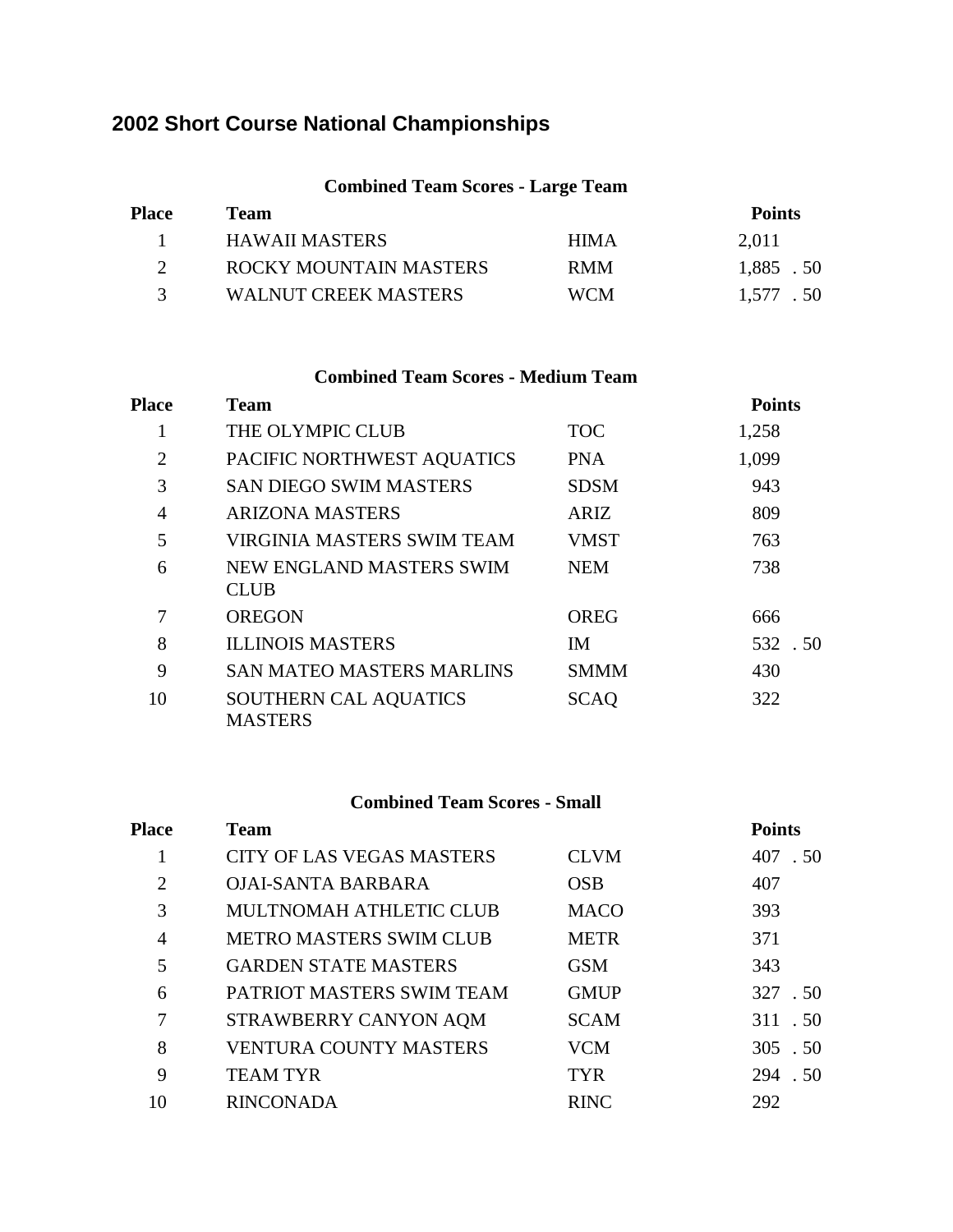# **Short Course National Championships**

### **Combined Team Scores - Large Team**

| <b>Place</b>  | Team                   |             | <b>Points</b> |
|---------------|------------------------|-------------|---------------|
|               | <b>HAWAII MASTERS</b>  | <b>HIMA</b> | 2,011         |
|               | ROCKY MOUNTAIN MASTERS | <b>RMM</b>  | 1,885 .50     |
| $\mathcal{R}$ | WALNUT CREEK MASTERS   | <b>WCM</b>  | 1,577 .50     |

#### **Combined Team Scores - Medium Team**

| <b>Place</b> | <b>Team</b>                             |             | <b>Points</b> |
|--------------|-----------------------------------------|-------------|---------------|
| 1            | THE OLYMPIC CLUB                        | <b>TOC</b>  | 1,258         |
| 2            | PACIFIC NORTHWEST AQUATICS              | <b>PNA</b>  | 1,099         |
| 3            | <b>SAN DIEGO SWIM MASTERS</b>           | <b>SDSM</b> | 943           |
| 4            | <b>ARIZONA MASTERS</b>                  | <b>ARIZ</b> | 809           |
| 5            | <b>VIRGINIA MASTERS SWIM TEAM</b>       | <b>VMST</b> | 763           |
| 6            | NEW ENGLAND MASTERS SWIM<br><b>CLUB</b> | <b>NEM</b>  | 738           |
| 7            | <b>OREGON</b>                           | <b>OREG</b> | 666           |
| 8            | <b>ILLINOIS MASTERS</b>                 | <b>IM</b>   | 532.50        |
| 9            | <b>SAN MATEO MASTERS MARLINS</b>        | <b>SMMM</b> | 430           |
| 10           | SOUTHERN CAL AQUATICS<br><b>MASTERS</b> | <b>SCAO</b> | 322           |

### **Combined Team Scores - Small**

| Place | <b>Team</b>                      |             | <b>Points</b> |
|-------|----------------------------------|-------------|---------------|
| 1     | <b>CITY OF LAS VEGAS MASTERS</b> | <b>CLVM</b> | 407 .50       |
| 2     | <b>OJAI-SANTA BARBARA</b>        | <b>OSB</b>  | 407           |
| 3     | MULTNOMAH ATHLETIC CLUB          | <b>MACO</b> | 393           |
| 4     | METRO MASTERS SWIM CLUB          | <b>METR</b> | 371           |
| 5     | <b>GARDEN STATE MASTERS</b>      | <b>GSM</b>  | 343           |
| 6     | PATRIOT MASTERS SWIM TEAM        | <b>GMUP</b> | 327 .50       |
| 7     | STRAWBERRY CANYON AQM            | <b>SCAM</b> | 311 .50       |
| 8     | <b>VENTURA COUNTY MASTERS</b>    | <b>VCM</b>  | 305.50        |
| 9     | <b>TEAM TYR</b>                  | <b>TYR</b>  | 294 .50       |
| 10    | <b>RINCONADA</b>                 | <b>RINC</b> | 292           |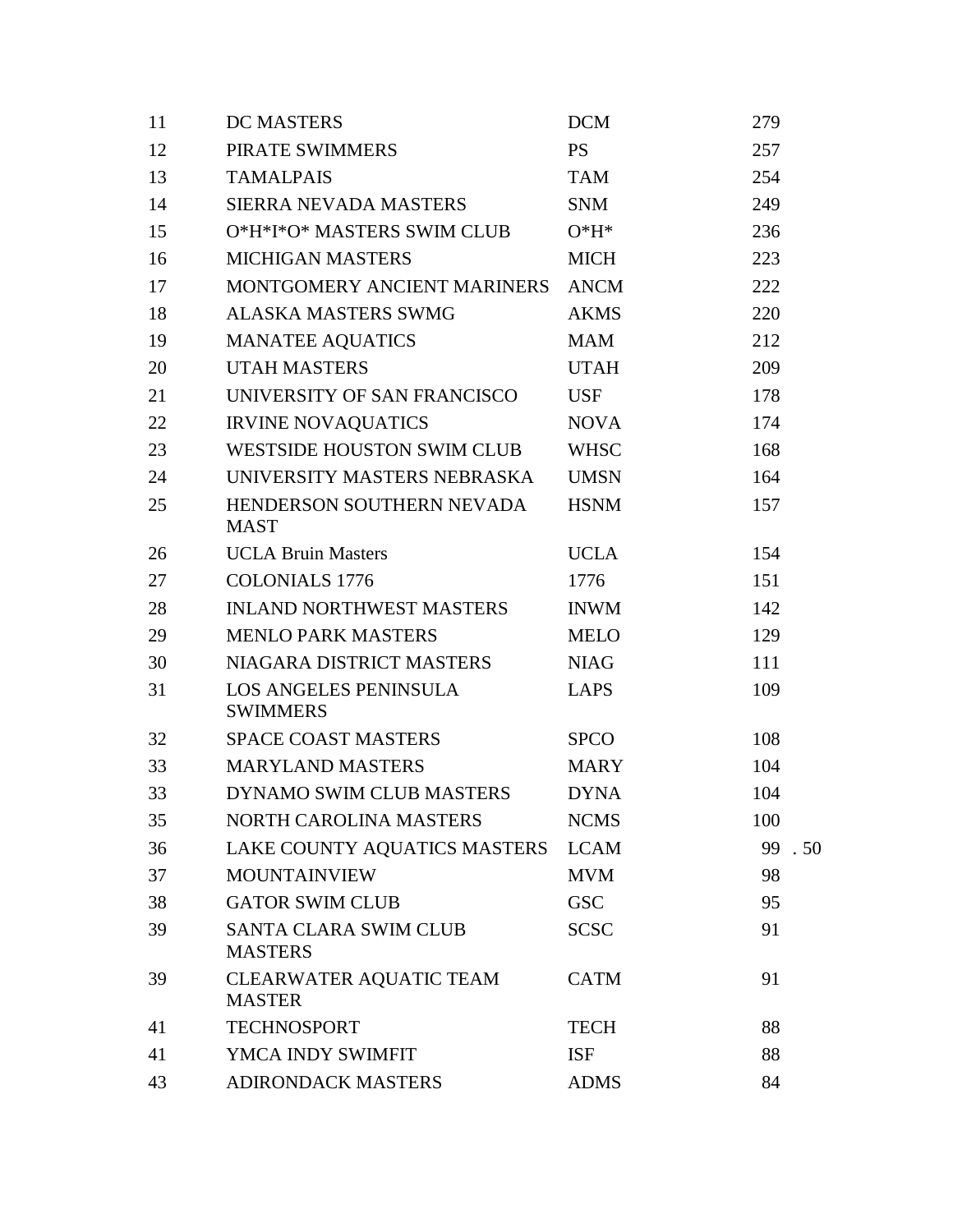| 11 | <b>DC MASTERS</b>                               | <b>DCM</b>  | 279       |
|----|-------------------------------------------------|-------------|-----------|
| 12 | PIRATE SWIMMERS                                 | <b>PS</b>   | 257       |
| 13 | <b>TAMALPAIS</b>                                | <b>TAM</b>  | 254       |
| 14 | SIERRA NEVADA MASTERS                           | <b>SNM</b>  | 249       |
| 15 | O*H*I*O* MASTERS SWIM CLUB                      | $O*H*$      | 236       |
| 16 | <b>MICHIGAN MASTERS</b>                         | <b>MICH</b> | 223       |
| 17 | MONTGOMERY ANCIENT MARINERS                     | <b>ANCM</b> | 222       |
| 18 | <b>ALASKA MASTERS SWMG</b>                      | <b>AKMS</b> | 220       |
| 19 | <b>MANATEE AQUATICS</b>                         | <b>MAM</b>  | 212       |
| 20 | <b>UTAH MASTERS</b>                             | <b>UTAH</b> | 209       |
| 21 | UNIVERSITY OF SAN FRANCISCO                     | <b>USF</b>  | 178       |
| 22 | <b>IRVINE NOVAQUATICS</b>                       | <b>NOVA</b> | 174       |
| 23 | <b>WESTSIDE HOUSTON SWIM CLUB</b>               | <b>WHSC</b> | 168       |
| 24 | UNIVERSITY MASTERS NEBRASKA                     | <b>UMSN</b> | 164       |
| 25 | HENDERSON SOUTHERN NEVADA<br><b>MAST</b>        | <b>HSNM</b> | 157       |
| 26 | <b>UCLA Bruin Masters</b>                       | <b>UCLA</b> | 154       |
| 27 | <b>COLONIALS 1776</b>                           | 1776        | 151       |
| 28 | <b>INLAND NORTHWEST MASTERS</b>                 | <b>INWM</b> | 142       |
| 29 | <b>MENLO PARK MASTERS</b>                       | <b>MELO</b> | 129       |
| 30 | NIAGARA DISTRICT MASTERS                        | <b>NIAG</b> | 111       |
| 31 | LOS ANGELES PENINSULA<br><b>SWIMMERS</b>        | <b>LAPS</b> | 109       |
| 32 | <b>SPACE COAST MASTERS</b>                      | <b>SPCO</b> | 108       |
| 33 | <b>MARYLAND MASTERS</b>                         | <b>MARY</b> | 104       |
| 33 | DYNAMO SWIM CLUB MASTERS                        | <b>DYNA</b> | 104       |
| 35 | NORTH CAROLINA MASTERS                          | <b>NCMS</b> | 100       |
| 36 | LAKE COUNTY AQUATICS MASTERS                    | <b>LCAM</b> | 99<br>.50 |
| 37 | <b>MOUNTAINVIEW</b>                             | <b>MVM</b>  | 98        |
| 38 | <b>GATOR SWIM CLUB</b>                          | <b>GSC</b>  | 95        |
| 39 | <b>SANTA CLARA SWIM CLUB</b><br><b>MASTERS</b>  | <b>SCSC</b> | 91        |
| 39 | <b>CLEARWATER AQUATIC TEAM</b><br><b>MASTER</b> | <b>CATM</b> | 91        |
| 41 | <b>TECHNOSPORT</b>                              | <b>TECH</b> | 88        |
| 41 | YMCA INDY SWIMFIT                               | <b>ISF</b>  | 88        |
| 43 | <b>ADIRONDACK MASTERS</b>                       | <b>ADMS</b> | 84        |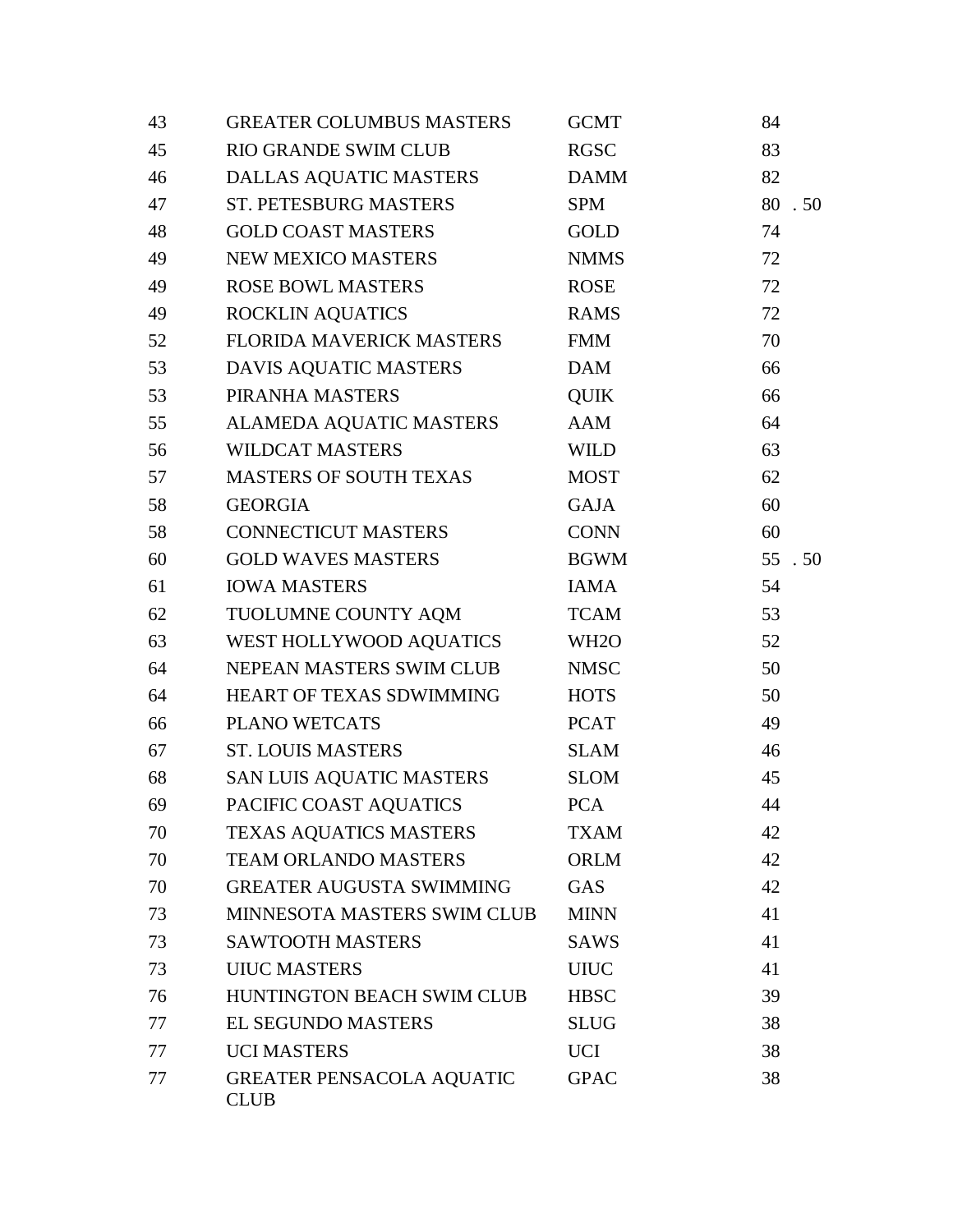| 43 | <b>GREATER COLUMBUS MASTERS</b>                 | <b>GCMT</b>       | 84     |
|----|-------------------------------------------------|-------------------|--------|
| 45 | <b>RIO GRANDE SWIM CLUB</b>                     | <b>RGSC</b>       | 83     |
| 46 | DALLAS AQUATIC MASTERS                          | DAMM              | 82     |
| 47 | ST. PETESBURG MASTERS                           | <b>SPM</b>        | 80.50  |
| 48 | <b>GOLD COAST MASTERS</b>                       | GOLD              | 74     |
| 49 | NEW MEXICO MASTERS                              | <b>NMMS</b>       | 72     |
| 49 | <b>ROSE BOWL MASTERS</b>                        | <b>ROSE</b>       | 72     |
| 49 | ROCKLIN AQUATICS                                | <b>RAMS</b>       | 72     |
| 52 | FLORIDA MAVERICK MASTERS                        | <b>FMM</b>        | 70     |
| 53 | DAVIS AQUATIC MASTERS                           | <b>DAM</b>        | 66     |
| 53 | PIRANHA MASTERS                                 | <b>QUIK</b>       | 66     |
| 55 | ALAMEDA AQUATIC MASTERS                         | AAM               | 64     |
| 56 | <b>WILDCAT MASTERS</b>                          | <b>WILD</b>       | 63     |
| 57 | <b>MASTERS OF SOUTH TEXAS</b>                   | <b>MOST</b>       | 62     |
| 58 | <b>GEORGIA</b>                                  | <b>GAJA</b>       | 60     |
| 58 | <b>CONNECTICUT MASTERS</b>                      | <b>CONN</b>       | 60     |
| 60 | <b>GOLD WAVES MASTERS</b>                       | <b>BGWM</b>       | 55 .50 |
| 61 | <b>IOWA MASTERS</b>                             | <b>IAMA</b>       | 54     |
| 62 | TUOLUMNE COUNTY AQM                             | <b>TCAM</b>       | 53     |
| 63 | WEST HOLLYWOOD AQUATICS                         | WH <sub>2</sub> O | 52     |
| 64 | NEPEAN MASTERS SWIM CLUB                        | <b>NMSC</b>       | 50     |
| 64 | HEART OF TEXAS SDWIMMING                        | <b>HOTS</b>       | 50     |
| 66 | PLANO WETCATS                                   | <b>PCAT</b>       | 49     |
| 67 | <b>ST. LOUIS MASTERS</b>                        | <b>SLAM</b>       | 46     |
| 68 | SAN LUIS AQUATIC MASTERS                        | <b>SLOM</b>       | 45     |
| 69 | PACIFIC COAST AQUATICS                          | <b>PCA</b>        | 44     |
| 70 | TEXAS AQUATICS MASTERS                          | <b>TXAM</b>       | 42     |
| 70 | <b>TEAM ORLANDO MASTERS</b>                     | <b>ORLM</b>       | 42     |
| 70 | <b>GREATER AUGUSTA SWIMMING</b>                 | GAS               | 42     |
| 73 | MINNESOTA MASTERS SWIM CLUB                     | <b>MINN</b>       | 41     |
| 73 | <b>SAWTOOTH MASTERS</b>                         | <b>SAWS</b>       | 41     |
| 73 | <b>UIUC MASTERS</b>                             | <b>UIUC</b>       | 41     |
| 76 | HUNTINGTON BEACH SWIM CLUB                      | <b>HBSC</b>       | 39     |
| 77 | <b>EL SEGUNDO MASTERS</b>                       | <b>SLUG</b>       | 38     |
| 77 | <b>UCI MASTERS</b>                              | <b>UCI</b>        | 38     |
| 77 | <b>GREATER PENSACOLA AQUATIC</b><br><b>CLUB</b> | <b>GPAC</b>       | 38     |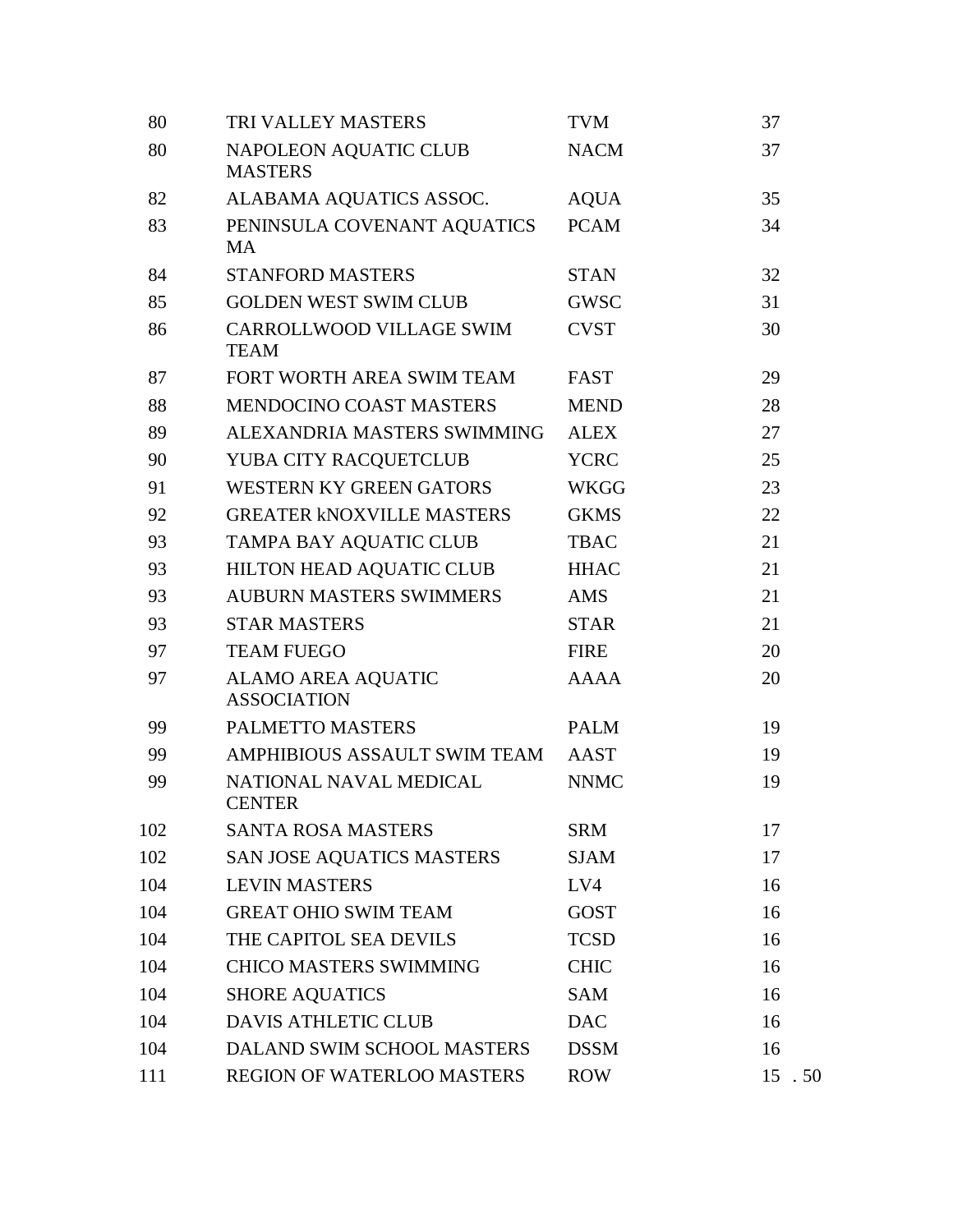| 80  | <b>TRI VALLEY MASTERS</b>                       | <b>TVM</b>  | 37     |
|-----|-------------------------------------------------|-------------|--------|
| 80  | NAPOLEON AQUATIC CLUB<br><b>MASTERS</b>         | <b>NACM</b> | 37     |
| 82  | ALABAMA AQUATICS ASSOC.                         | <b>AQUA</b> | 35     |
| 83  | PENINSULA COVENANT AQUATICS<br><b>MA</b>        | <b>PCAM</b> | 34     |
| 84  | <b>STANFORD MASTERS</b>                         | <b>STAN</b> | 32     |
| 85  | <b>GOLDEN WEST SWIM CLUB</b>                    | <b>GWSC</b> | 31     |
| 86  | CARROLLWOOD VILLAGE SWIM<br><b>TEAM</b>         | <b>CVST</b> | 30     |
| 87  | FORT WORTH AREA SWIM TEAM                       | <b>FAST</b> | 29     |
| 88  | <b>MENDOCINO COAST MASTERS</b>                  | <b>MEND</b> | 28     |
| 89  | ALEXANDRIA MASTERS SWIMMING                     | <b>ALEX</b> | 27     |
| 90  | YUBA CITY RACQUETCLUB                           | <b>YCRC</b> | 25     |
| 91  | <b>WESTERN KY GREEN GATORS</b>                  | <b>WKGG</b> | 23     |
| 92  | <b>GREATER KNOXVILLE MASTERS</b>                | <b>GKMS</b> | 22     |
| 93  | TAMPA BAY AQUATIC CLUB                          | <b>TBAC</b> | 21     |
| 93  | HILTON HEAD AQUATIC CLUB                        | <b>HHAC</b> | 21     |
| 93  | <b>AUBURN MASTERS SWIMMERS</b>                  | <b>AMS</b>  | 21     |
| 93  | <b>STAR MASTERS</b>                             | <b>STAR</b> | 21     |
| 97  | <b>TEAM FUEGO</b>                               | <b>FIRE</b> | 20     |
| 97  | <b>ALAMO AREA AQUATIC</b><br><b>ASSOCIATION</b> | <b>AAAA</b> | 20     |
| 99  | PALMETTO MASTERS                                | <b>PALM</b> | 19     |
| 99  | AMPHIBIOUS ASSAULT SWIM TEAM                    | AAST        | 19     |
| 99  | NATIONAL NAVAL MEDICAL<br><b>CENTER</b>         | <b>NNMC</b> | 19     |
| 102 | <b>SANTA ROSA MASTERS</b>                       | <b>SRM</b>  | 17     |
| 102 | SAN JOSE AQUATICS MASTERS                       | <b>SJAM</b> | 17     |
| 104 | <b>LEVIN MASTERS</b>                            | LV4         | 16     |
| 104 | <b>GREAT OHIO SWIM TEAM</b>                     | <b>GOST</b> | 16     |
| 104 | THE CAPITOL SEA DEVILS                          | <b>TCSD</b> | 16     |
| 104 | <b>CHICO MASTERS SWIMMING</b>                   | <b>CHIC</b> | 16     |
| 104 | <b>SHORE AQUATICS</b>                           | <b>SAM</b>  | 16     |
| 104 | <b>DAVIS ATHLETIC CLUB</b>                      | <b>DAC</b>  | 16     |
| 104 | DALAND SWIM SCHOOL MASTERS                      | <b>DSSM</b> | 16     |
| 111 | REGION OF WATERLOO MASTERS                      | <b>ROW</b>  | 15 .50 |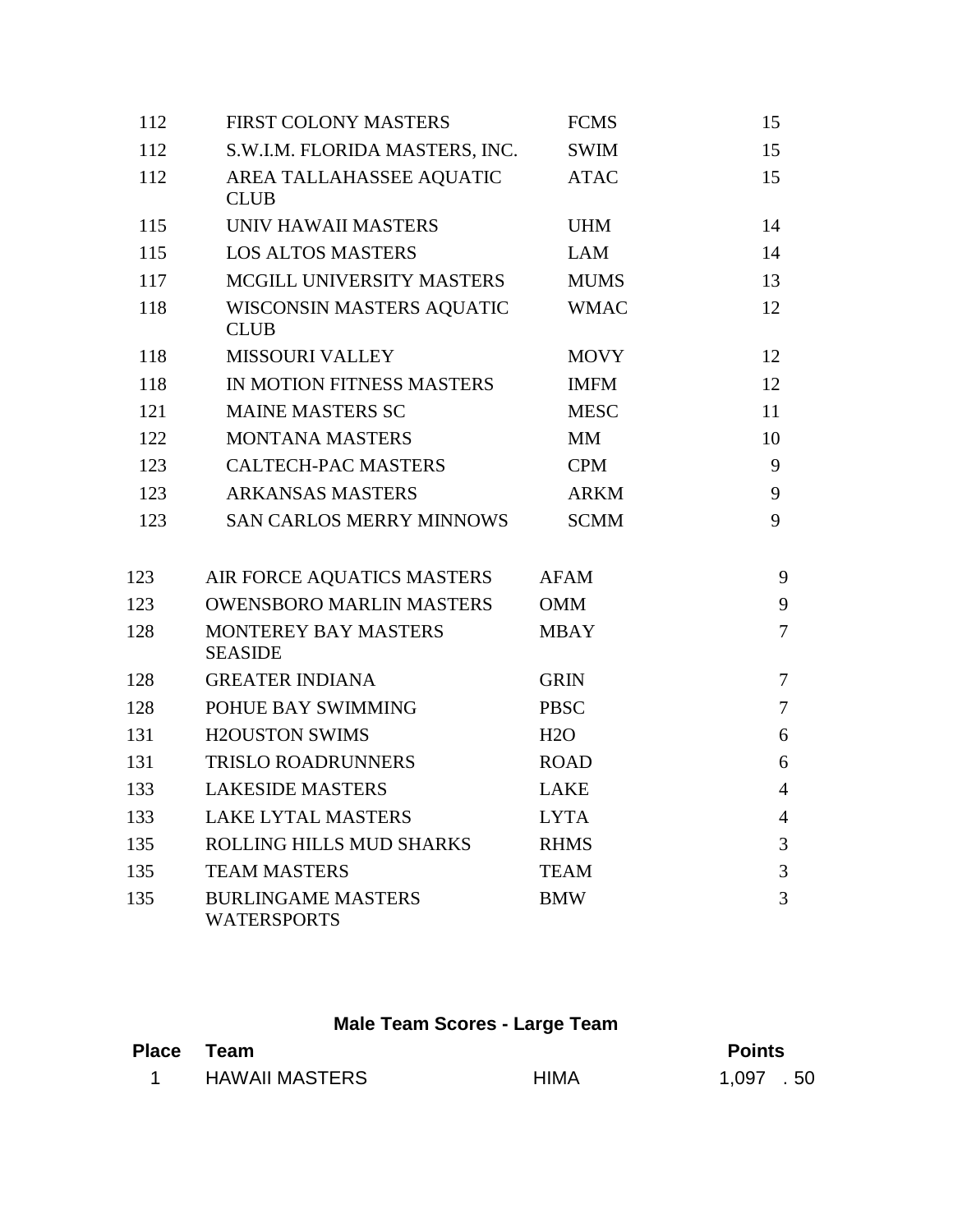| 112 | FIRST COLONY MASTERS                            | <b>FCMS</b> | 15             |
|-----|-------------------------------------------------|-------------|----------------|
| 112 | S.W.I.M. FLORIDA MASTERS, INC.                  | <b>SWIM</b> | 15             |
| 112 | AREA TALLAHASSEE AQUATIC<br><b>CLUB</b>         | <b>ATAC</b> | 15             |
| 115 | UNIV HAWAII MASTERS                             | <b>UHM</b>  | 14             |
| 115 | <b>LOS ALTOS MASTERS</b>                        | <b>LAM</b>  | 14             |
| 117 | MCGILL UNIVERSITY MASTERS                       | <b>MUMS</b> | 13             |
| 118 | WISCONSIN MASTERS AQUATIC<br><b>CLUB</b>        | <b>WMAC</b> | 12             |
| 118 | <b>MISSOURI VALLEY</b>                          | <b>MOVY</b> | 12             |
| 118 | IN MOTION FITNESS MASTERS                       | <b>IMFM</b> | 12             |
| 121 | <b>MAINE MASTERS SC</b>                         | <b>MESC</b> | 11             |
| 122 | <b>MONTANA MASTERS</b>                          | <b>MM</b>   | 10             |
| 123 | <b>CALTECH-PAC MASTERS</b>                      | <b>CPM</b>  | 9              |
| 123 | <b>ARKANSAS MASTERS</b>                         | <b>ARKM</b> | 9              |
| 123 | <b>SAN CARLOS MERRY MINNOWS</b>                 | <b>SCMM</b> | 9              |
| 123 | AIR FORCE AQUATICS MASTERS                      | <b>AFAM</b> | 9              |
| 123 | <b>OWENSBORO MARLIN MASTERS</b>                 | <b>OMM</b>  | 9              |
| 128 | <b>MONTEREY BAY MASTERS</b><br><b>SEASIDE</b>   | <b>MBAY</b> | $\overline{7}$ |
| 128 | <b>GREATER INDIANA</b>                          | <b>GRIN</b> | $\overline{7}$ |
| 128 | POHUE BAY SWIMMING                              | <b>PBSC</b> | $\overline{7}$ |
| 131 | <b>H2OUSTON SWIMS</b>                           | H2O         | 6              |
| 131 | <b>TRISLO ROADRUNNERS</b>                       | <b>ROAD</b> | 6              |
| 133 | <b>LAKESIDE MASTERS</b>                         | <b>LAKE</b> | $\overline{4}$ |
| 133 | <b>LAKE LYTAL MASTERS</b>                       | <b>LYTA</b> | $\overline{4}$ |
| 135 | ROLLING HILLS MUD SHARKS                        | <b>RHMS</b> | 3              |
| 135 | <b>TEAM MASTERS</b>                             | <b>TEAM</b> | 3              |
| 135 | <b>BURLINGAME MASTERS</b><br><b>WATERSPORTS</b> | <b>BMW</b>  | 3              |

## **Male Team Scores - Large Team**

| Place Team            |             | <b>Points</b> |  |
|-----------------------|-------------|---------------|--|
| <b>HAWAII MASTERS</b> | <b>HIMA</b> | 1,097 .50     |  |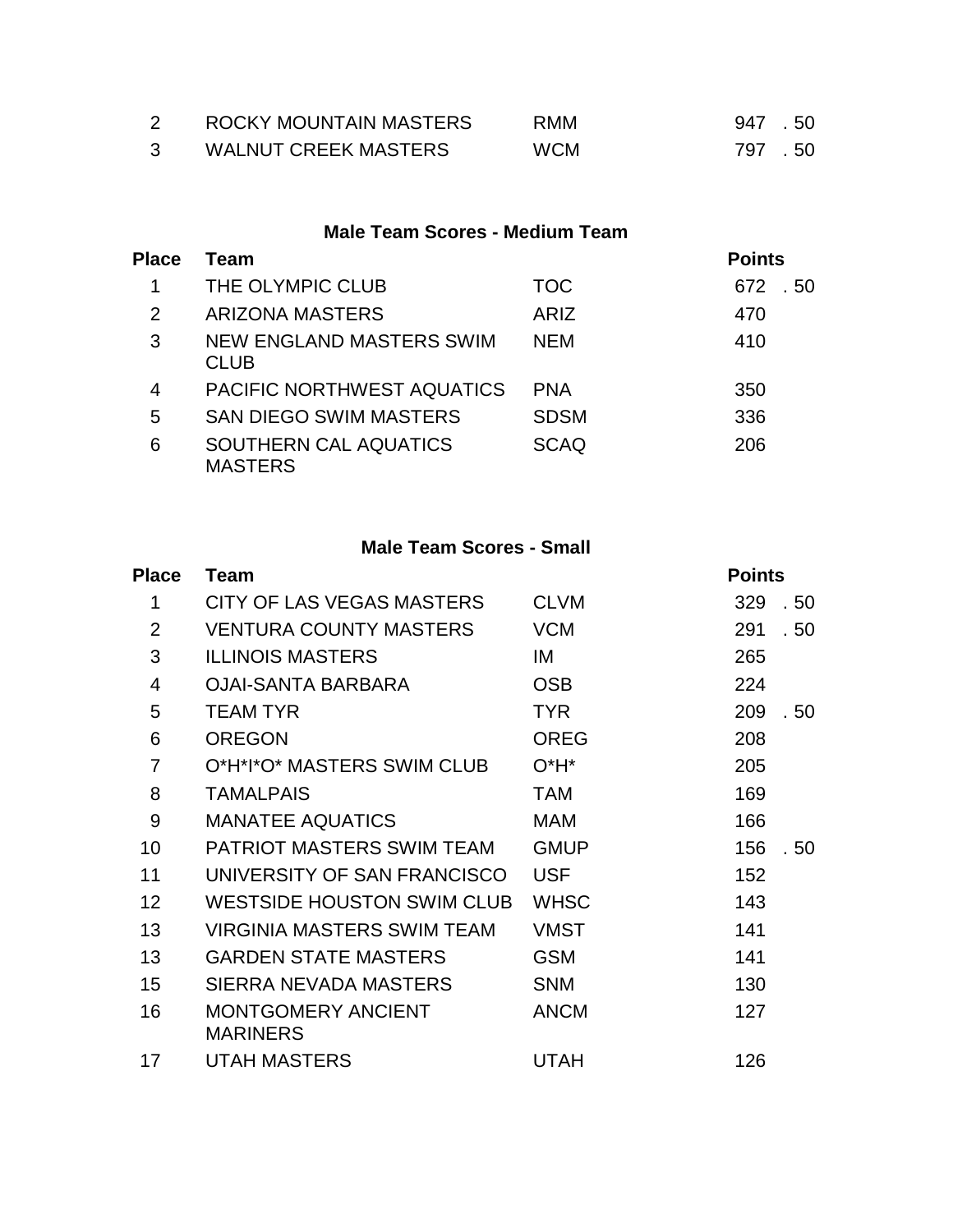| ROCKY MOUNTAIN MASTERS      | <b>RMM</b> | 947.50 |  |
|-----------------------------|------------|--------|--|
| <b>WALNUT CREEK MASTERS</b> | <b>WCM</b> | 797.50 |  |

### **Male Team Scores - Medium Team**

| <b>Place</b>   | Team                                           |             | <b>Points</b> |
|----------------|------------------------------------------------|-------------|---------------|
| 1              | THE OLYMPIC CLUB                               | <b>TOC</b>  | 672<br>. 50   |
| $\overline{2}$ | <b>ARIZONA MASTERS</b>                         | ARIZ        | 470           |
| 3              | <b>NEW ENGLAND MASTERS SWIM</b><br><b>CLUB</b> | <b>NEM</b>  | 410           |
| 4              | <b>PACIFIC NORTHWEST AQUATICS</b>              | <b>PNA</b>  | 350           |
| 5              | <b>SAN DIEGO SWIM MASTERS</b>                  | <b>SDSM</b> | 336           |
| 6              | SOUTHERN CAL AQUATICS<br><b>MASTERS</b>        | <b>SCAQ</b> | 206           |

### **Male Team Scores - Small**

| <b>Place</b>   | <b>Team</b>                                  |             | <b>Points</b> |
|----------------|----------------------------------------------|-------------|---------------|
| 1              | CITY OF LAS VEGAS MASTERS                    | <b>CLVM</b> | 329<br>. 50   |
| 2              | <b>VENTURA COUNTY MASTERS</b>                | <b>VCM</b>  | 291<br>. 50   |
| 3              | <b>ILLINOIS MASTERS</b>                      | IM          | 265           |
| $\overline{4}$ | <b>OJAI-SANTA BARBARA</b>                    | <b>OSB</b>  | 224           |
| 5              | <b>TEAM TYR</b>                              | <b>TYR</b>  | 209<br>. 50   |
| 6              | <b>OREGON</b>                                | <b>OREG</b> | 208           |
| $\overline{7}$ | O*H*I*O* MASTERS SWIM CLUB                   | $O^*H^*$    | 205           |
| 8              | <b>TAMALPAIS</b>                             | <b>TAM</b>  | 169           |
| 9              | <b>MANATEE AQUATICS</b>                      | <b>MAM</b>  | 166           |
| 10             | <b>PATRIOT MASTERS SWIM TEAM</b>             | <b>GMUP</b> | 156<br>. 50   |
| 11             | UNIVERSITY OF SAN FRANCISCO                  | <b>USF</b>  | 152           |
| 12             | <b>WESTSIDE HOUSTON SWIM CLUB</b>            | <b>WHSC</b> | 143           |
| 13             | <b>VIRGINIA MASTERS SWIM TEAM</b>            | <b>VMST</b> | 141           |
| 13             | <b>GARDEN STATE MASTERS</b>                  | <b>GSM</b>  | 141           |
| 15             | SIERRA NEVADA MASTERS                        | <b>SNM</b>  | 130           |
| 16             | <b>MONTGOMERY ANCIENT</b><br><b>MARINERS</b> | <b>ANCM</b> | 127           |
| 17             | <b>UTAH MASTERS</b>                          | <b>UTAH</b> | 126           |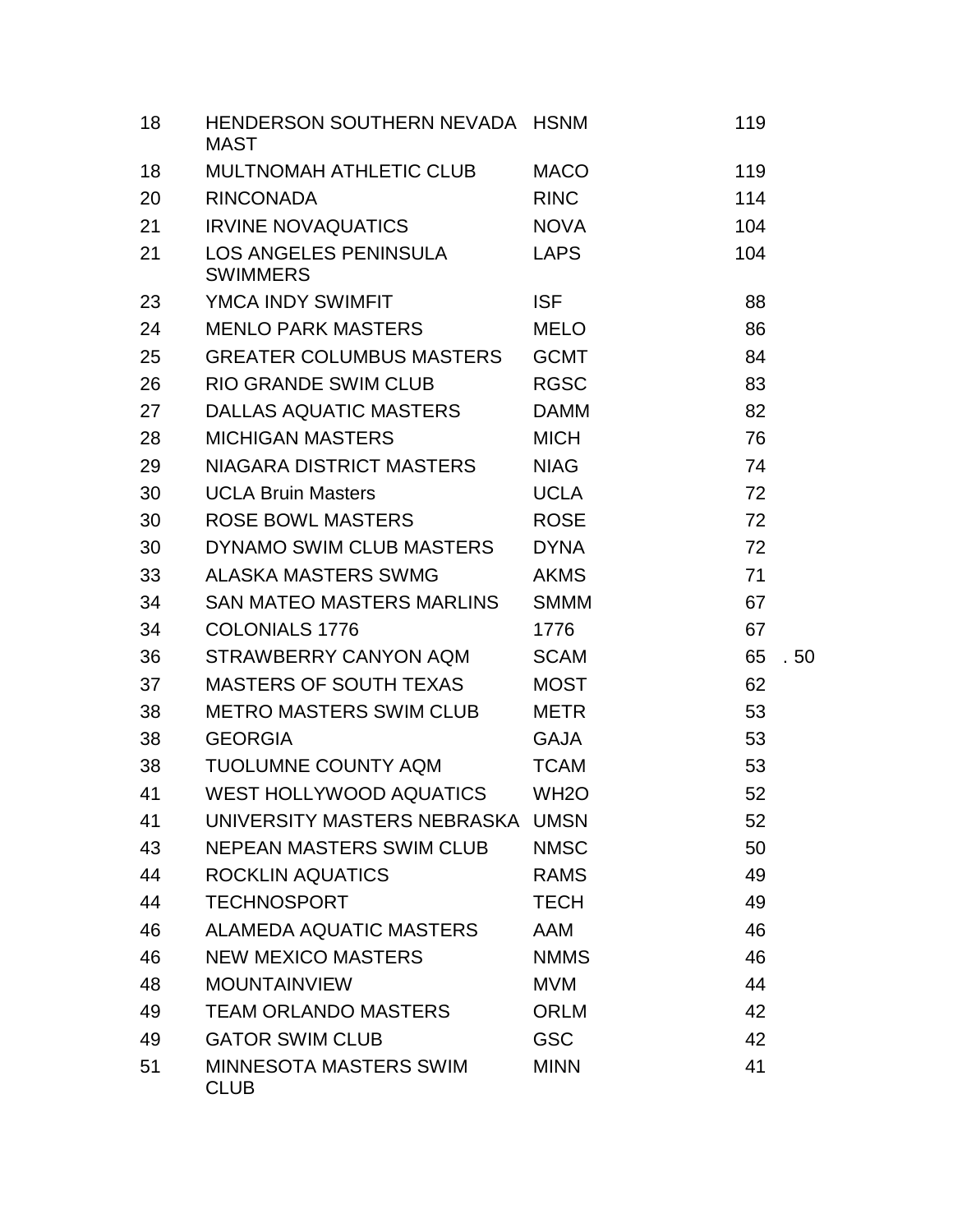| 18 | HENDERSON SOUTHERN NEVADA HSNM<br><b>MAST</b> |                   | 119 |      |
|----|-----------------------------------------------|-------------------|-----|------|
| 18 | <b>MULTNOMAH ATHLETIC CLUB</b>                | <b>MACO</b>       | 119 |      |
| 20 | <b>RINCONADA</b>                              | <b>RINC</b>       | 114 |      |
| 21 | <b>IRVINE NOVAQUATICS</b>                     | <b>NOVA</b>       | 104 |      |
| 21 | LOS ANGELES PENINSULA<br><b>SWIMMERS</b>      | <b>LAPS</b>       | 104 |      |
| 23 | YMCA INDY SWIMFIT                             | <b>ISF</b>        | 88  |      |
| 24 | <b>MENLO PARK MASTERS</b>                     | <b>MELO</b>       | 86  |      |
| 25 | <b>GREATER COLUMBUS MASTERS</b>               | <b>GCMT</b>       | 84  |      |
| 26 | <b>RIO GRANDE SWIM CLUB</b>                   | <b>RGSC</b>       | 83  |      |
| 27 | DALLAS AQUATIC MASTERS                        | <b>DAMM</b>       | 82  |      |
| 28 | <b>MICHIGAN MASTERS</b>                       | <b>MICH</b>       | 76  |      |
| 29 | NIAGARA DISTRICT MASTERS                      | <b>NIAG</b>       | 74  |      |
| 30 | <b>UCLA Bruin Masters</b>                     | <b>UCLA</b>       | 72  |      |
| 30 | <b>ROSE BOWL MASTERS</b>                      | <b>ROSE</b>       | 72  |      |
| 30 | DYNAMO SWIM CLUB MASTERS                      | <b>DYNA</b>       | 72  |      |
| 33 | <b>ALASKA MASTERS SWMG</b>                    | <b>AKMS</b>       | 71  |      |
| 34 | SAN MATEO MASTERS MARLINS                     | <b>SMMM</b>       | 67  |      |
| 34 | <b>COLONIALS 1776</b>                         | 1776              | 67  |      |
| 36 | STRAWBERRY CANYON AQM                         | <b>SCAM</b>       | 65  | . 50 |
| 37 | <b>MASTERS OF SOUTH TEXAS</b>                 | <b>MOST</b>       | 62  |      |
| 38 | METRO MASTERS SWIM CLUB                       | <b>METR</b>       | 53  |      |
| 38 | <b>GEORGIA</b>                                | <b>GAJA</b>       | 53  |      |
| 38 | <b>TUOLUMNE COUNTY AQM</b>                    | <b>TCAM</b>       | 53  |      |
| 41 | WEST HOLLYWOOD AQUATICS                       | WH <sub>2</sub> O | 52  |      |
| 41 | UNIVERSITY MASTERS NEBRASKA UMSN              |                   | 52  |      |
| 43 | <b>NEPEAN MASTERS SWIM CLUB</b>               | <b>NMSC</b>       | 50  |      |
| 44 | <b>ROCKLIN AQUATICS</b>                       | <b>RAMS</b>       | 49  |      |
| 44 | <b>TECHNOSPORT</b>                            | <b>TECH</b>       | 49  |      |
| 46 | ALAMEDA AQUATIC MASTERS                       | <b>AAM</b>        | 46  |      |
| 46 | <b>NEW MEXICO MASTERS</b>                     | <b>NMMS</b>       | 46  |      |
| 48 | <b>MOUNTAINVIEW</b>                           | <b>MVM</b>        | 44  |      |
| 49 | <b>TEAM ORLANDO MASTERS</b>                   | <b>ORLM</b>       | 42  |      |
| 49 | <b>GATOR SWIM CLUB</b>                        | <b>GSC</b>        | 42  |      |
| 51 | <b>MINNESOTA MASTERS SWIM</b><br><b>CLUB</b>  | <b>MINN</b>       | 41  |      |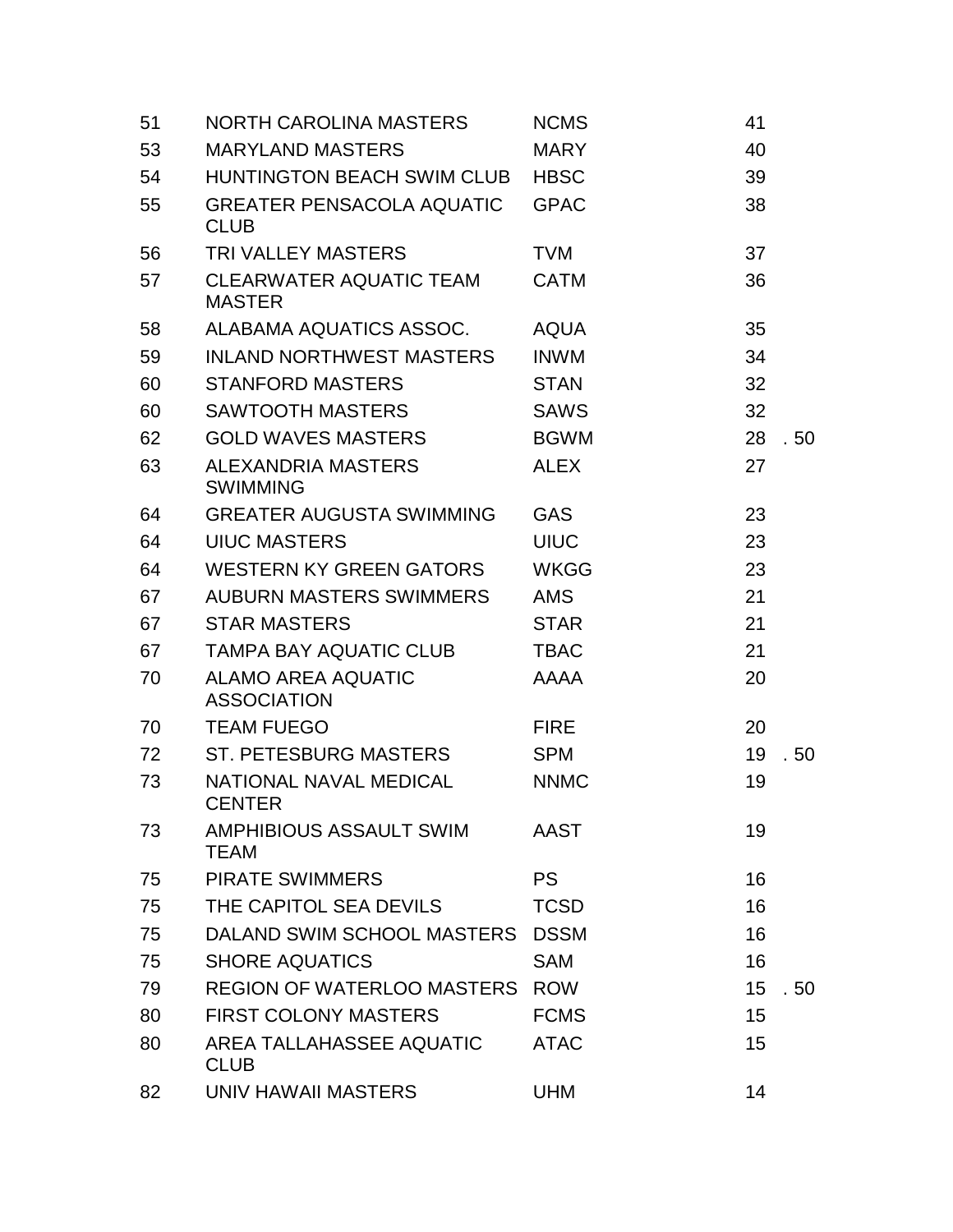| 51 | <b>NORTH CAROLINA MASTERS</b>                   | <b>NCMS</b> | 41         |
|----|-------------------------------------------------|-------------|------------|
| 53 | <b>MARYLAND MASTERS</b>                         | <b>MARY</b> | 40         |
| 54 | <b>HUNTINGTON BEACH SWIM CLUB</b>               | <b>HBSC</b> | 39         |
| 55 | <b>GREATER PENSACOLA AQUATIC</b><br><b>CLUB</b> | <b>GPAC</b> | 38         |
| 56 | <b>TRI VALLEY MASTERS</b>                       | <b>TVM</b>  | 37         |
| 57 | <b>CLEARWATER AQUATIC TEAM</b><br><b>MASTER</b> | <b>CATM</b> | 36         |
| 58 | ALABAMA AQUATICS ASSOC.                         | <b>AQUA</b> | 35         |
| 59 | <b>INLAND NORTHWEST MASTERS</b>                 | <b>INWM</b> | 34         |
| 60 | <b>STANFORD MASTERS</b>                         | <b>STAN</b> | 32         |
| 60 | <b>SAWTOOTH MASTERS</b>                         | <b>SAWS</b> | 32         |
| 62 | <b>GOLD WAVES MASTERS</b>                       | <b>BGWM</b> | 28<br>. 50 |
| 63 | ALEXANDRIA MASTERS<br><b>SWIMMING</b>           | <b>ALEX</b> | 27         |
| 64 | <b>GREATER AUGUSTA SWIMMING</b>                 | <b>GAS</b>  | 23         |
| 64 | <b>UIUC MASTERS</b>                             | <b>UIUC</b> | 23         |
| 64 | <b>WESTERN KY GREEN GATORS</b>                  | <b>WKGG</b> | 23         |
| 67 | <b>AUBURN MASTERS SWIMMERS</b>                  | AMS         | 21         |
| 67 | <b>STAR MASTERS</b>                             | <b>STAR</b> | 21         |
| 67 | <b>TAMPA BAY AQUATIC CLUB</b>                   | <b>TBAC</b> | 21         |
| 70 | <b>ALAMO AREA AQUATIC</b><br><b>ASSOCIATION</b> | <b>AAAA</b> | 20         |
| 70 | <b>TEAM FUEGO</b>                               | <b>FIRE</b> | 20         |
| 72 | ST. PETESBURG MASTERS                           | <b>SPM</b>  | 19<br>. 50 |
| 73 | NATIONAL NAVAL MEDICAL<br><b>CENTER</b>         | <b>NNMC</b> | 19         |
| 73 | AMPHIBIOUS ASSAULT SWIM<br><b>TEAM</b>          | <b>AAST</b> | 19         |
| 75 | <b>PIRATE SWIMMERS</b>                          | <b>PS</b>   | 16         |
| 75 | THE CAPITOL SEA DEVILS                          | <b>TCSD</b> | 16         |
| 75 | DALAND SWIM SCHOOL MASTERS                      | <b>DSSM</b> | 16         |
| 75 | <b>SHORE AQUATICS</b>                           | <b>SAM</b>  | 16         |
| 79 | REGION OF WATERLOO MASTERS ROW                  |             | 15<br>. 50 |
| 80 | <b>FIRST COLONY MASTERS</b>                     | <b>FCMS</b> | 15         |
| 80 | AREA TALLAHASSEE AQUATIC<br><b>CLUB</b>         | <b>ATAC</b> | 15         |
| 82 | UNIV HAWAII MASTERS                             | <b>UHM</b>  | 14         |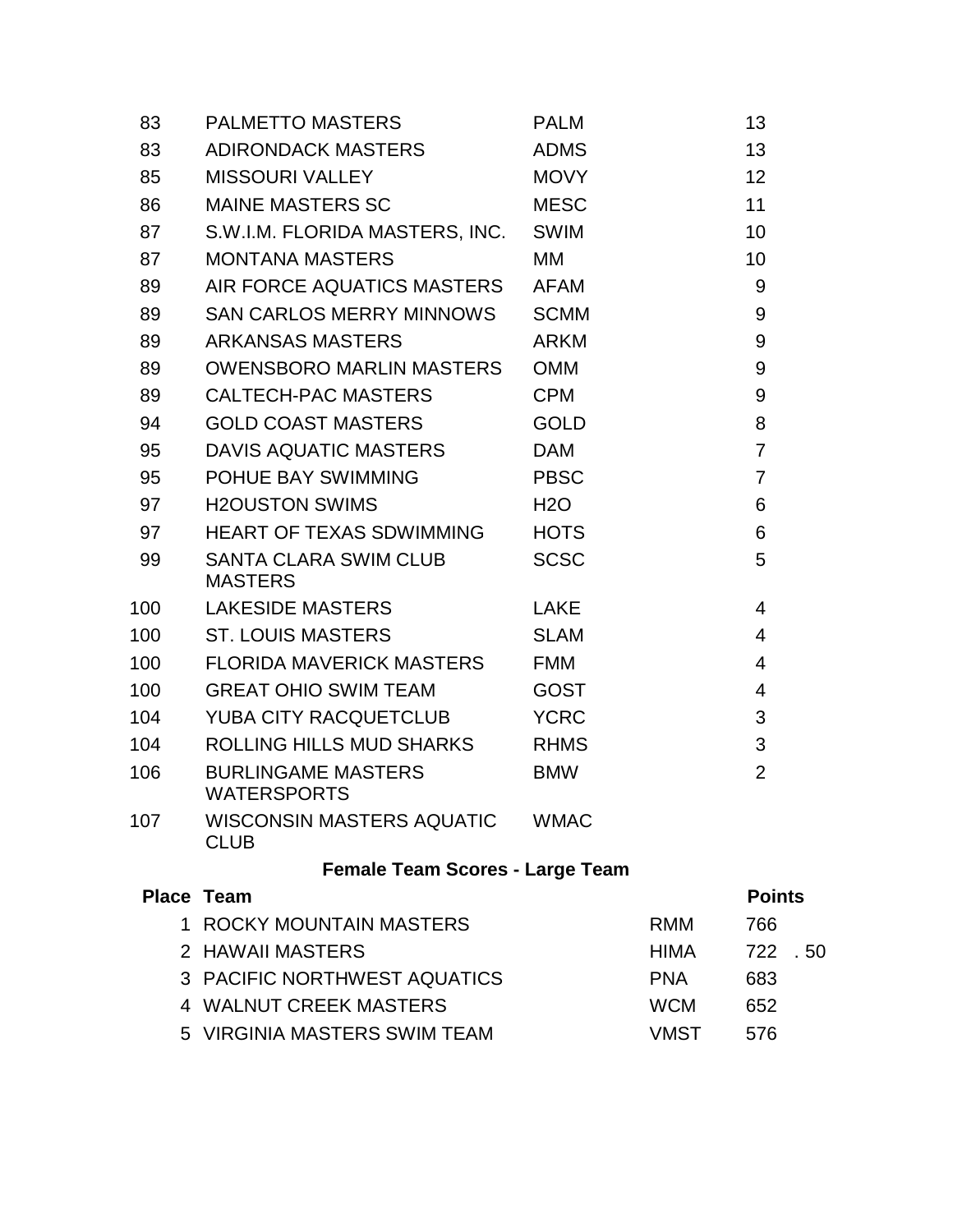| 83  | PALMETTO MASTERS                                | <b>PALM</b>      |             | 13             |      |
|-----|-------------------------------------------------|------------------|-------------|----------------|------|
| 83  | ADIRONDACK MASTERS                              | <b>ADMS</b>      |             | 13             |      |
| 85  | MISSOURI VALLEY                                 | <b>MOVY</b>      |             | 12             |      |
| 86  | MAINE MASTERS SC                                | <b>MESC</b>      |             | 11             |      |
| 87  | S.W.I.M. FLORIDA MASTERS, INC.                  | <b>SWIM</b>      |             | 10             |      |
| 87  | <b>MONTANA MASTERS</b>                          | МM               |             | 10             |      |
| 89  | AIR FORCE AQUATICS MASTERS                      | AFAM             |             | 9              |      |
| 89  | SAN CARLOS MERRY MINNOWS                        | <b>SCMM</b>      |             | 9              |      |
| 89  | ARKANSAS MASTERS                                | <b>ARKM</b>      |             | 9              |      |
| 89  | OWENSBORO MARLIN MASTERS OMM                    |                  |             | 9              |      |
| 89  | CALTECH-PAC MASTERS                             | <b>CPM</b>       |             | 9              |      |
| 94  | <b>GOLD COAST MASTERS</b>                       | <b>GOLD</b>      |             | 8              |      |
| 95  | DAVIS AQUATIC MASTERS                           | <b>DAM</b>       |             | $\overline{7}$ |      |
| 95  | POHUE BAY SWIMMING                              | <b>PBSC</b>      |             | $\overline{7}$ |      |
| 97  | <b>H2OUSTON SWIMS</b>                           | H <sub>2</sub> O |             | 6              |      |
| 97  | HEART OF TEXAS SDWIMMING HOTS                   |                  |             | 6              |      |
| 99  | SANTA CLARA SWIM CLUB<br><b>MASTERS</b>         | <b>SCSC</b>      |             | 5              |      |
| 100 | LAKESIDE MASTERS                                | LAKE             |             | 4              |      |
| 100 | ST. LOUIS MASTERS                               | <b>SLAM</b>      |             | $\overline{4}$ |      |
| 100 | FLORIDA MAVERICK MASTERS FMM                    |                  |             | $\overline{4}$ |      |
| 100 | GREAT OHIO SWIM TEAM                            | <b>GOST</b>      |             | $\overline{4}$ |      |
| 104 | YUBA CITY RACQUETCLUB                           | <b>YCRC</b>      |             | 3              |      |
| 104 | ROLLING HILLS MUD SHARKS RHMS                   |                  |             | 3              |      |
| 106 | <b>BURLINGAME MASTERS</b><br><b>WATERSPORTS</b> | <b>BMW</b>       |             | $\overline{2}$ |      |
| 107 | WISCONSIN MASTERS AQUATIC<br><b>CLUB</b>        | <b>WMAC</b>      |             |                |      |
|     | <b>Female Team Scores - Large Team</b>          |                  |             |                |      |
|     | <b>Place Team</b>                               |                  |             | <b>Points</b>  |      |
|     | 1 ROCKY MOUNTAIN MASTERS                        |                  | <b>RMM</b>  | 766            |      |
|     | 2 HAWAII MASTERS                                |                  | <b>HIMA</b> | 722            | . 50 |
|     | 3 PACIFIC NORTHWEST AQUATICS                    |                  | <b>PNA</b>  | 683            |      |
|     | 4 WALNUT CREEK MASTERS                          |                  | <b>WCM</b>  | 652            |      |
|     | 5 VIRGINIA MASTERS SWIM TEAM                    |                  | <b>VMST</b> | 576            |      |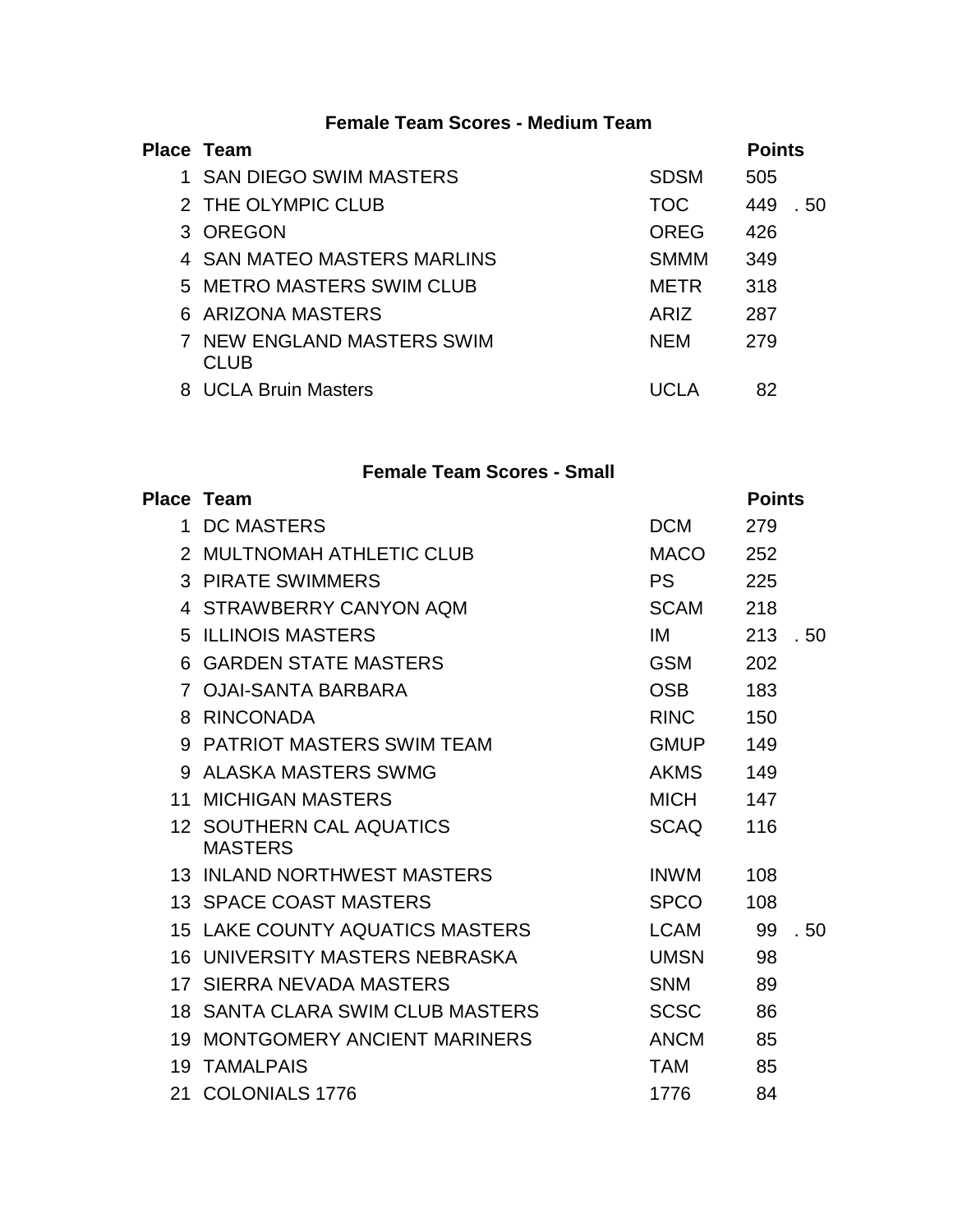## **Female Team Scores - Medium Team**

| Place Team                                |                  | <b>Points</b> |
|-------------------------------------------|------------------|---------------|
| 1 SAN DIEGO SWIM MASTERS                  | <b>SDSM</b>      | 505           |
| 2 THE OLYMPIC CLUB                        | <b>TOC</b>       | 449<br>. 50   |
| 3 OREGON                                  | <b>OREG</b>      | 426           |
| 4 SAN MATEO MASTERS MARLINS               | <b>SMMM</b>      | 349           |
| 5 METRO MASTERS SWIM CLUB                 | METR             | 318           |
| 6 ARIZONA MASTERS                         | AR <sub>IZ</sub> | 287           |
| <b>7 NEW ENGLAND MASTERS SWIM</b><br>CLUB | <b>NFM</b>       | 279           |
| 8 UCLA Bruin Masters                      | ם ה <i>ח</i> דו  | 82            |

## **Female Team Scores - Small**

|                 | Place Team                                 |             | <b>Points</b> |      |
|-----------------|--------------------------------------------|-------------|---------------|------|
|                 | 1 DC MASTERS                               | <b>DCM</b>  | 279           |      |
|                 | 2 MULTNOMAH ATHLETIC CLUB                  | <b>MACO</b> | 252           |      |
|                 | <b>3 PIRATE SWIMMERS</b>                   | <b>PS</b>   | 225           |      |
|                 | 4 STRAWBERRY CANYON AQM                    | <b>SCAM</b> | 218           |      |
|                 | <b>5 ILLINOIS MASTERS</b>                  | IM          | 213           | . 50 |
|                 | <b>6 GARDEN STATE MASTERS</b>              | <b>GSM</b>  | 202           |      |
|                 | 7 OJAI-SANTA BARBARA                       | <b>OSB</b>  | 183           |      |
|                 | 8 RINCONADA                                | <b>RINC</b> | 150           |      |
|                 | 9 PATRIOT MASTERS SWIM TEAM                | <b>GMUP</b> | 149           |      |
|                 | 9 ALASKA MASTERS SWMG                      | <b>AKMS</b> | 149           |      |
| 11 <sup>1</sup> | <b>MICHIGAN MASTERS</b>                    | <b>MICH</b> | 147           |      |
|                 | 12 SOUTHERN CAL AQUATICS<br><b>MASTERS</b> | <b>SCAQ</b> | 116           |      |
|                 | <b>13 INLAND NORTHWEST MASTERS</b>         | <b>INWM</b> | 108           |      |
|                 | <b>13 SPACE COAST MASTERS</b>              | <b>SPCO</b> | 108           |      |
|                 | <b>15 LAKE COUNTY AQUATICS MASTERS</b>     | <b>LCAM</b> | 99            | .50  |
|                 | <b>16 UNIVERSITY MASTERS NEBRASKA</b>      | <b>UMSN</b> | 98            |      |
|                 | 17 SIERRA NEVADA MASTERS                   | <b>SNM</b>  | 89            |      |
|                 | 18 SANTA CLARA SWIM CLUB MASTERS           | <b>SCSC</b> | 86            |      |
|                 | 19 MONTGOMERY ANCIENT MARINERS             | <b>ANCM</b> | 85            |      |
|                 | <b>19 TAMALPAIS</b>                        | <b>TAM</b>  | 85            |      |
| 21              | <b>COLONIALS 1776</b>                      | 1776        | 84            |      |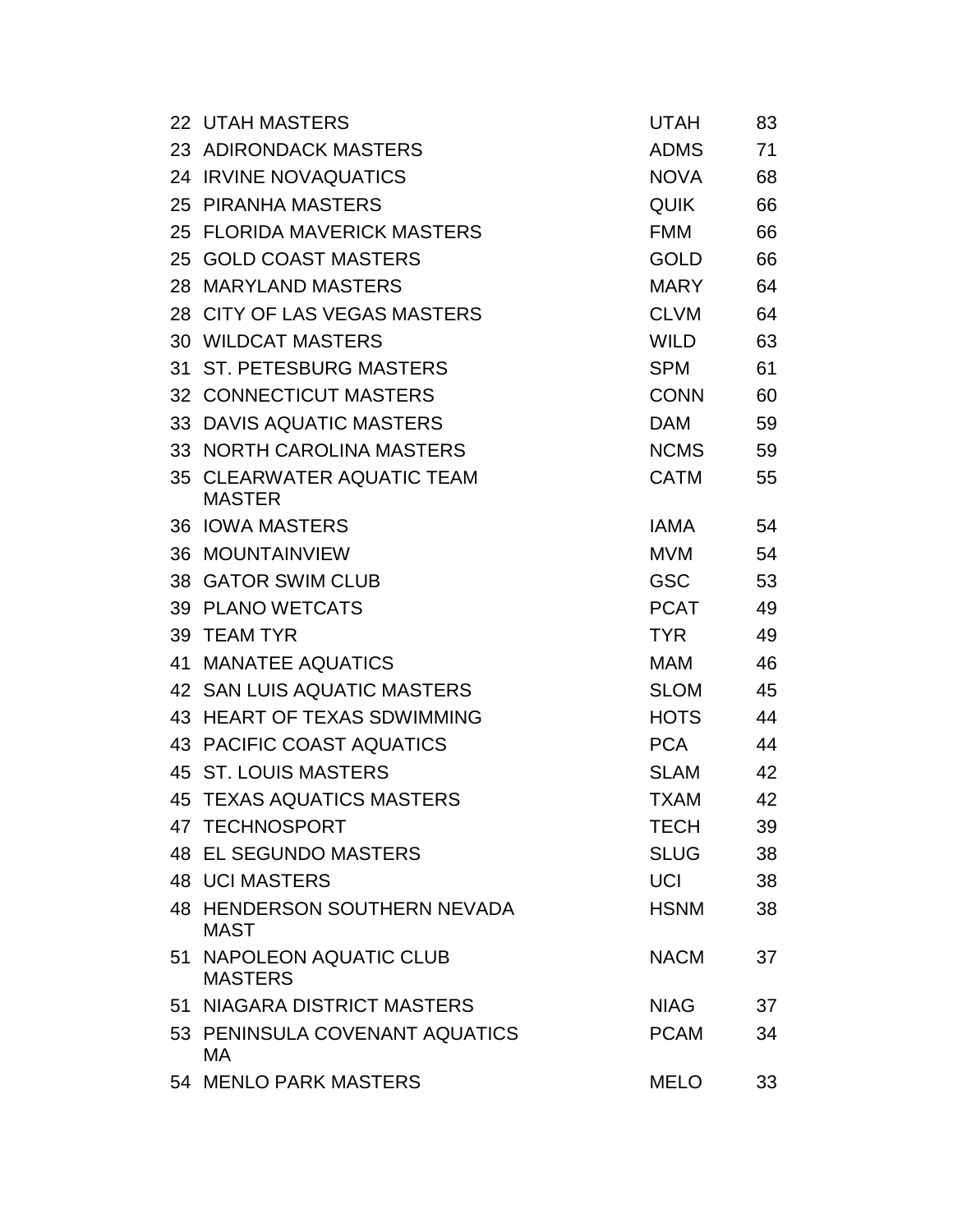|    | 22 UTAH MASTERS                                    | <b>UTAH</b> | 83 |
|----|----------------------------------------------------|-------------|----|
|    | 23 ADIRONDACK MASTERS                              | <b>ADMS</b> | 71 |
|    | 24 IRVINE NOVAQUATICS                              | <b>NOVA</b> | 68 |
|    | 25 PIRANHA MASTERS                                 | <b>QUIK</b> | 66 |
|    | 25 FLORIDA MAVERICK MASTERS                        | <b>FMM</b>  | 66 |
|    | 25 GOLD COAST MASTERS                              | <b>GOLD</b> | 66 |
|    | 28 MARYLAND MASTERS                                | <b>MARY</b> | 64 |
|    | 28 CITY OF LAS VEGAS MASTERS                       | <b>CLVM</b> | 64 |
|    | <b>30 WILDCAT MASTERS</b>                          | <b>WILD</b> | 63 |
|    | 31 ST. PETESBURG MASTERS                           | <b>SPM</b>  | 61 |
|    | <b>32 CONNECTICUT MASTERS</b>                      | <b>CONN</b> | 60 |
|    | 33 DAVIS AQUATIC MASTERS                           | <b>DAM</b>  | 59 |
|    | 33 NORTH CAROLINA MASTERS                          | <b>NCMS</b> | 59 |
|    | 35 CLEARWATER AQUATIC TEAM<br><b>MASTER</b>        | <b>CATM</b> | 55 |
|    | <b>36 IOWA MASTERS</b>                             | <b>IAMA</b> | 54 |
|    | <b>36 MOUNTAINVIEW</b>                             | <b>MVM</b>  | 54 |
|    | 38 GATOR SWIM CLUB                                 | <b>GSC</b>  | 53 |
|    | 39 PLANO WETCATS                                   | <b>PCAT</b> | 49 |
|    | 39 TEAM TYR                                        | <b>TYR</b>  | 49 |
| 41 | <b>MANATEE AQUATICS</b>                            | <b>MAM</b>  | 46 |
|    | 42 SAN LUIS AQUATIC MASTERS                        | <b>SLOM</b> | 45 |
|    | 43 HEART OF TEXAS SDWIMMING                        | <b>HOTS</b> | 44 |
|    | 43 PACIFIC COAST AQUATICS                          | <b>PCA</b>  | 44 |
|    | 45 ST. LOUIS MASTERS                               | <b>SLAM</b> | 42 |
|    | 45 TEXAS AQUATICS MASTERS                          | <b>TXAM</b> | 42 |
|    | 47 TECHNOSPORT                                     | <b>TECH</b> | 39 |
|    | <b>48 EL SEGUNDO MASTERS</b>                       | <b>SLUG</b> | 38 |
|    | <b>48 UCI MASTERS</b>                              | <b>UCI</b>  | 38 |
|    | <b>48 HENDERSON SOUTHERN NEVADA</b><br><b>MAST</b> | <b>HSNM</b> | 38 |
|    | 51 NAPOLEON AQUATIC CLUB<br><b>MASTERS</b>         | <b>NACM</b> | 37 |
|    | 51 NIAGARA DISTRICT MASTERS                        | <b>NIAG</b> | 37 |
|    | 53 PENINSULA COVENANT AQUATICS<br>MA.              | <b>PCAM</b> | 34 |
|    | 54 MENLO PARK MASTERS                              | <b>MELO</b> | 33 |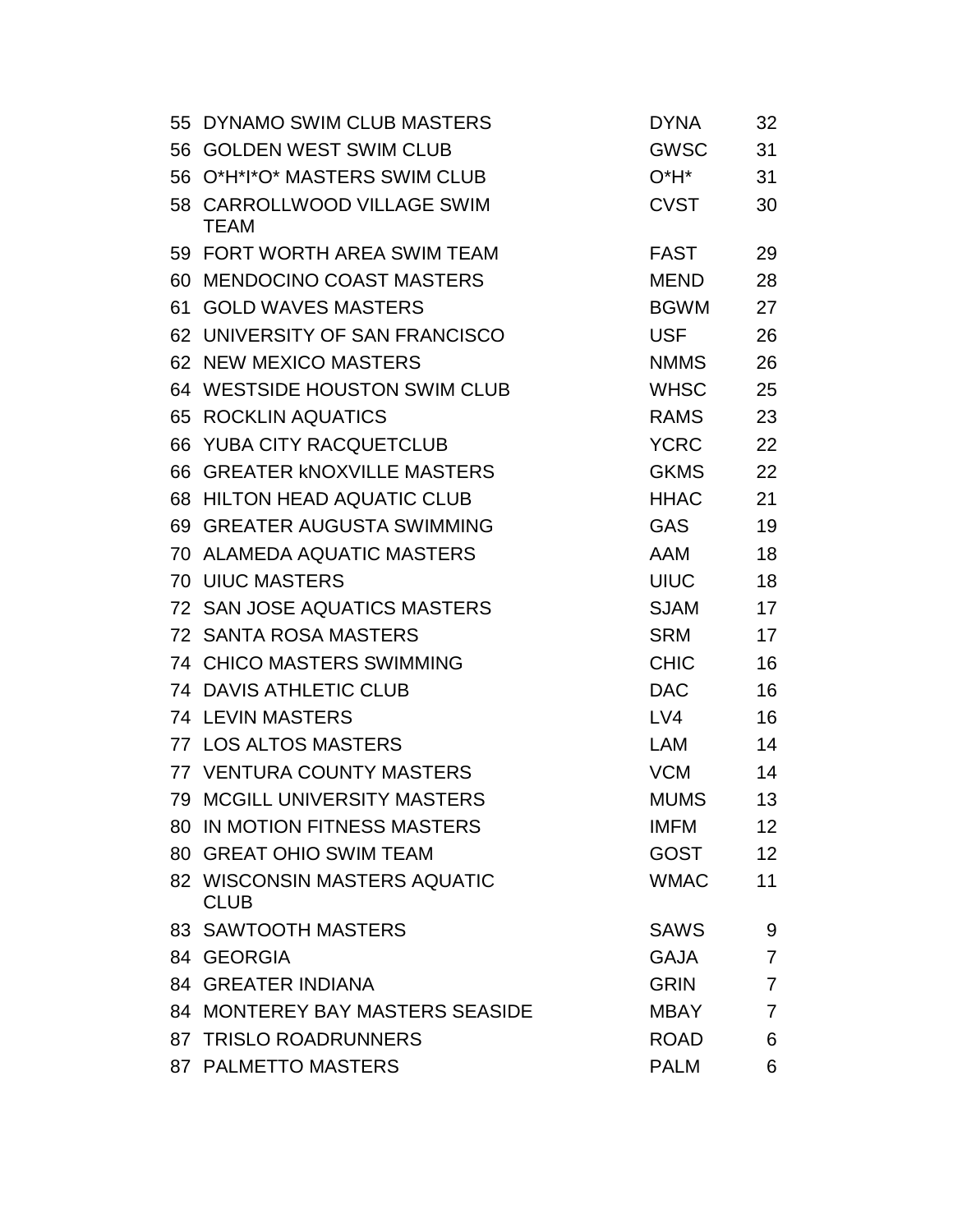|    | 55 DYNAMO SWIM CLUB MASTERS                 | <b>DYNA</b> | 32              |
|----|---------------------------------------------|-------------|-----------------|
|    | 56 GOLDEN WEST SWIM CLUB                    | <b>GWSC</b> | 31              |
|    | 56 O*H*I*O* MASTERS SWIM CLUB               | 0*H*        | 31              |
|    | 58 CARROLLWOOD VILLAGE SWIM<br><b>TEAM</b>  | <b>CVST</b> | 30              |
|    | 59 FORT WORTH AREA SWIM TEAM                | <b>FAST</b> | 29              |
|    | 60 MENDOCINO COAST MASTERS                  | <b>MEND</b> | 28              |
|    | 61 GOLD WAVES MASTERS                       | <b>BGWM</b> | 27              |
|    | 62 UNIVERSITY OF SAN FRANCISCO              | <b>USF</b>  | 26              |
|    | 62 NEW MEXICO MASTERS                       | <b>NMMS</b> | 26              |
|    | 64 WESTSIDE HOUSTON SWIM CLUB               | <b>WHSC</b> | 25              |
|    | <b>65 ROCKLIN AQUATICS</b>                  | <b>RAMS</b> | 23              |
| 66 | YUBA CITY RACQUETCLUB                       | <b>YCRC</b> | 22              |
|    | 66 GREATER KNOXVILLE MASTERS                | <b>GKMS</b> | 22              |
|    | 68 HILTON HEAD AQUATIC CLUB                 | <b>HHAC</b> | 21              |
|    | 69 GREATER AUGUSTA SWIMMING                 | <b>GAS</b>  | 19              |
|    | <b>70 ALAMEDA AQUATIC MASTERS</b>           | <b>AAM</b>  | 18              |
|    | <b>70 UIUC MASTERS</b>                      | <b>UIUC</b> | 18              |
|    | 72 SAN JOSE AQUATICS MASTERS                | <b>SJAM</b> | 17              |
|    | 72 SANTA ROSA MASTERS                       | <b>SRM</b>  | 17              |
|    | <b>74 CHICO MASTERS SWIMMING</b>            | <b>CHIC</b> | 16              |
|    | <b>74 DAVIS ATHLETIC CLUB</b>               | <b>DAC</b>  | 16              |
|    | <b>74 LEVIN MASTERS</b>                     | LVA         | 16              |
|    | 77 LOS ALTOS MASTERS                        | <b>LAM</b>  | 14              |
|    | 77 VENTURA COUNTY MASTERS                   | <b>VCM</b>  | 14              |
|    | <b>79 MCGILL UNIVERSITY MASTERS</b>         | <b>MUMS</b> | 13              |
|    | 80 IN MOTION FITNESS MASTERS                | <b>IMFM</b> | 12              |
|    | 80 GREAT OHIO SWIM TEAM                     | <b>GOST</b> | 12 <sup>2</sup> |
|    | 82 WISCONSIN MASTERS AQUATIC<br><b>CLUB</b> | <b>WMAC</b> | 11              |
|    | 83 SAWTOOTH MASTERS                         | <b>SAWS</b> | 9               |
|    | 84 GEORGIA                                  | <b>GAJA</b> | 7               |
|    | <b>84 GREATER INDIANA</b>                   | <b>GRIN</b> | 7               |
|    | 84 MONTEREY BAY MASTERS SEASIDE             | MBAY        | 7               |
|    | 87 TRISLO ROADRUNNERS                       | <b>ROAD</b> | 6               |
|    | 87 PALMETTO MASTERS                         | <b>PALM</b> | 6               |
|    |                                             |             |                 |